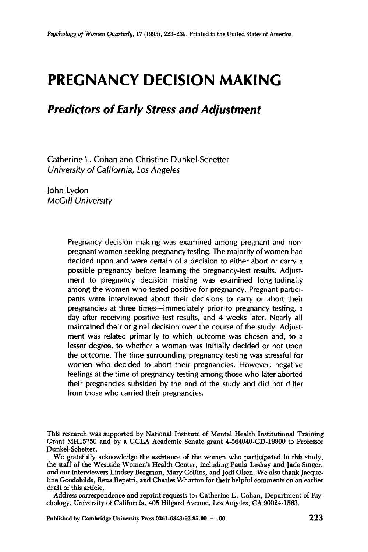# **PREGNANCY DECISION MAKING**

## *Predictors of Early Stress and Adjustment*

Catherine **L.** Cohan and Christine Dunkel-Schetter University of California, Los Angeles

John Lydon *McCill* University

> Pregnancy decision making was examined among pregnant and nonpregnant women seeking pregnancy testing. The majority of women had decided upon and were certain of a decision to either abort or carry a possible pregnancy before learning the pregnancy-test results. Adjustment to pregnancy decision making was examined longitudinally among the women who tested positive for pregnancy. Pregnant participants were interviewed about their decisions to carry or abort their pregnancies at three times-immediately prior to pregnancy testing, a day after receiving positive test results, and 4 weeks later. Nearly all maintained their original decision over the course of the study. Adjustment was related primarily to which outcome was chosen and, to a lesser degree, to whether a woman was initially decided or not upon the outcome. The time surrounding pregnancy testing was stressful for women who decided to abort their pregnancies. However, negative feelings at the time of pregnancy testing among those who later aborted their pregnancies subsided by the end of the study and did not differ from those who carried their pregnancies.

This research was supported by National Institute of Mental Health Institutional Training Grant MH15750 and by a UCLA Academic Senate grant 4-564040-CD-19900 to Professor Dunkel-Schetter.<br>We gratefully acknowledge the assistance of the women who participated in this study,

the staff of the Westside Women's Health Center, including Paula Leshay and Jade Singer, and our interviewers Lindsey Bergrnan, Mary Collins, and Jodi Olsen. We also thank Jacqueline Goodchilds, Rena Repetti, and Charles Wharton for their helpful comments on an earlier draft of this article.

Address correspondence and reprint requests to: Catherine L. Cohan, Department of Psychology, University of California, 405 Hilgard Avenue, Los Angeles, CA 90024-1563.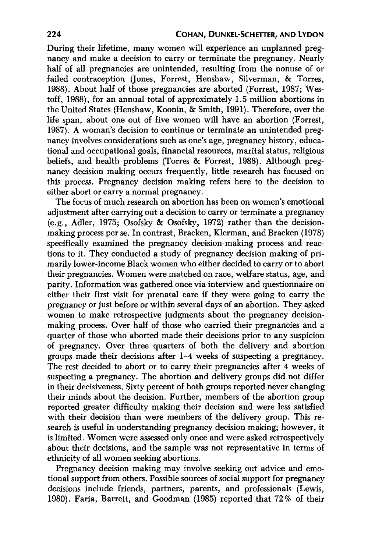During their lifetime, many women will experience an unplanned pregnancy and make a decision to carry or terminate the pregnancy. Nearly half of all pregnancies are unintended, resulting from the nonuse of or failed contraception (Jones, Forrest, Henshaw, Silverman, & Torres, 1988). About half of those pregnancies are aborted (Forrest, 1987; Westoff, 1988), for an annual total of approximately 1.5 million abortions in the United States (Henshaw, Koonin, & Smith, 1991). Therefore, over the life span, about one out of five women will have an abortion (Forrest, 1987). A woman's decision to continue or terminate an unintended pregnancy involves considerations such **as** one's age, pregnancy history, educational and occupational goals, financial resources, marital status, religious beliefs, and health problems (Torres & Forrest, 1988). Although pregnancy decision making occurs frequently, little research has focused on this process. Pregnancy decision making refers here to the decision to either abort or carry a normal pregnancy.

The focus of much research on abortion has been on women's emotional adjustment after carrying out a decision to carry or terminate a pregnancy (e.g., Adler, 1975; Osofsky & Osofsky, 1972) rather than the decisionmaking process per se. In contrast, Bracken, Klerman, and Bracken (1978) specifically examined the pregnancy decision-making process and reactions to it. They conducted a study of pregnancy decision making of primarily lower-income Black women who either decided to carry or to abort their pregnancies. Women were matched on race, welfare status, age, and parity. Information was gathered once via interview and questionnaire on either their first visit for prenatal care if they were going to carry the pregnancy or just before or within several days of an abortion. They asked women to make retrospective judgments about the pregnancy decisionmaking process. Over half of those who carried their pregnancies and a quarter of those who aborted made their decisions prior to any suspicion of pregnancy. Over three quarters of both the delivery and abortion groups made their decisions after 1-4 weeks of suspecting a pregnancy. The rest decided to abort or to carry their pregnancies after 4 weeks of suspecting a pregnancy. The abortion and delivery groups did not differ in their decisiveness. Sixty percent of both groups reported never changing their minds about the decision. Further, members of the abortion group reported greater difficulty making their decision and were less satisfied with their decision than were members of the delivery group. This research is useful in understanding pregnancy decision making; however, it is limited. Women were assessed only once and were asked retrospectively about their decisions, and the sample was not representative in terms of ethnicity of all women seeking abortions.

Pregnancy decision making may involve seeking out advice and emotional support from others. Possible sources of social support for pregnancy decisions include friends, partners, parents, and professionals (Lewis, 1980). Faria, Barrett, and Goodman (1985) reported that 72% of their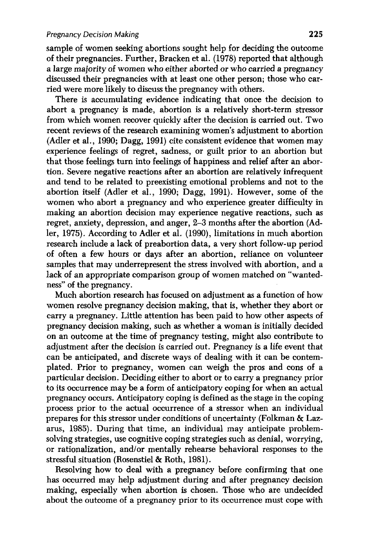sample of women seeking abortions sought help for deciding the outcome of their pregnancies. Further, Bracken et al. (1978) reported that although a large majority of women who either aborted or who carried a pregnancy discussed their pregnancies with at least one other person; those who carried were more likely to discuss the pregnancy with others.

There is accumulating evidence indicating that once the decision to abort a pregnancy is made, abortion is a relatively short-term stressor from which women recover quickly after the decision is carried out. Two recent reviews of the research examining women's adjustment to abortion (Adler et al., 1990; Dagg, 1991) cite consistent evidence that women may experience feelings of regret, sadness, or guilt prior to an abortion but that those feelings turn into feelings of happiness and relief after an abortion. Severe negative reactions after an abortion are relatively infrequent and tend to be related to preexisting emotional problems and not to the abortion itself (Adler et al., 1990; Dagg, 1991). However, some of the women who abort a pregnancy and who experience greater difficulty in making an abortion decision may experience negative reactions, such **as**  regret, anxiety, depression, and anger, 2-3 months after the abortion (Adler, 1975). According to Adler et al. (1990), limitations in much abortion research include a lack of preabortion data, a very short follow-up period of often a few hours or days after an abortion, reliance on volunteer samples that may underrepresent the stress involved with abortion, and a lack of an appropriate comparison group of women matched on "wantedness" of the pregnancy.

Much abortion research has focused on adjustment **as** a function of how women resolve pregnancy decision making, that is, whether they abort or carry a pregnancy. Little attention has been paid to how other aspects of pregnancy decision making, such **as** whether a woman is initially decided on an outcome at the time of pregnancy testing, might also contribute to adjustment after the decision is carried out. Pregnancy is a life event that can be anticipated, and discrete ways of dealing with it can be contemplated. Prior to pregnancy, women can weigh the pros and cons of a particular decision. Deciding either to abort or to carry a pregnancy prior to its occurrence may be a form of anticipatory coping for when an actual pregnancy occurs. Anticipatory coping is defined **as** the stage in the coping process prior to the actual occurrence of a stressor when an individual prepares for this stressor under conditions of uncertainty (Folkman & Lazarus, 1985). During that time, an individual may anticipate problemsolving strategies, use cognitive coping strategies such **as** denial, worrying, or rationalization, and/or mentally rehearse behavioral responses to the stressful situation (Rosenstiel & Roth, 1981).

Resolving how to deal with a pregnancy before confirming that one has occurred may help adjustment during and after pregnancy decision making, especially when abortion is chosen. Those who are undecided about the outcome of a pregnancy prior to its occurrence must cope with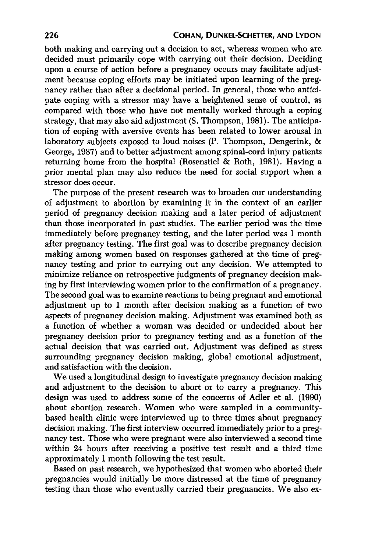both making and carrying out a decision to act, whereas women who are decided must primarily cope with carrying out their decision. Deciding upon a course of action before a pregnancy occurs may facilitate adjustment because coping efforts may be initiated upon learning of the pregnancy rather than after a decisional period. In general, those who anticipate coping with a stressor may have a heightened sense of control, **as**  compared with those who have not mentally worked through a coping strategy, that may also aid adjustment **(S.** Thompson, **1981).** The anticipation of coping with aversive events has been related to lower arousal in laboratory subjects exposed to loud noises (P. Thompson, Dengerink, & George, **1987)** and to better adjustment among spinal-cord injury patients returning home from the hospital (Rosenstiel & Roth, **1981).** Having a prior mental plan may also reduce the need for social support when a stressor does occur.

The purpose of the present research was to broaden our understanding of adjustment to abortion by examining it in the context of an earlier period of pregnancy decision making and a later period of adjustment than those incorporated in past studies. The earlier period was the time immediately before pregnancy testing, and the later period was **1** month after pregnancy testing. The first goal was to describe pregnancy decision making among women based on responses gathered at the time of pregnancy testing and prior to carrying out any decision. We attempted to minimize reliance on retrospective judgments of pregnancy decision making by first interviewing women prior to the confirmation of a pregnancy. The second goal was to examine reactions to being pregnant and emotional adjustment up to **1** month after decision making **as** a function of two aspects of pregnancy decision making. Adjustment was examined both **as**  a function of whether a woman was decided or undecided about her pregnancy decision prior to pregnancy testing and **as** a function of the actual decision that was carried out. Adjustment was defined **as** stress surrounding pregnancy decision making, global emotional adjustment, and satisfaction with the decision.

We used a longitudinal design to investigate pregnancy decision making and adjustment to the decision to abort or to carry a pregnancy. This design was used to address some of the concerns of Adler et al. **(1990)**  about abortion research. Women who were sampled in a communitybased health clinic were interviewed up to three times about pregnancy decision making. The first interview occurred immediately prior to a pregnancy test. Those who were pregnant were **also** interviewed a second time within **24** hours after receiving a positive test result and a third time approximately 1 month following the test result.

Based on past research, we hypothesized that women who aborted their pregnancies would initially be more distressed at the time of pregnancy testing than those who eventually carried their pregnancies. We also ex-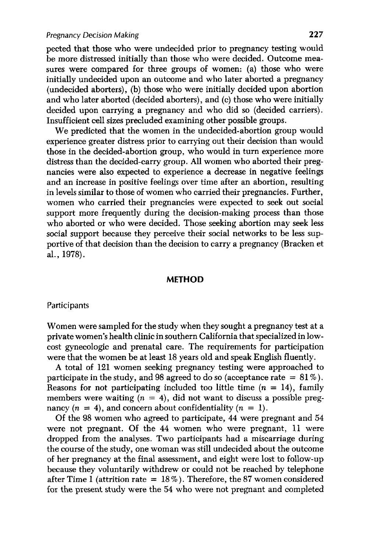pected that those who were undecided prior to pregnancy testing would be more distressed initially than those who were decided. Outcome measures were compared for three groups of women: (a) those who were initially undecided upon an outcome and who later aborted a pregnancy (undecided aborters), (b) those who were initially decided upon abortion and who later aborted (decided aborters), and (c) those who were initially decided upon carrying a pregnancy and who did so (decided carriers). Insufficient cell sizes precluded examining other possible groups.

We predicted that the women in the undecided-abortion group would experience greater distress prior to carrying out their decision than would those in the decided-abortion group, who would in turn experience more distress than the decided-carry group. All women who aborted their pregnancies were also expected to experience a decrease in negative feelings and an increase in positive feelings over time after an abortion, resulting in levels similar to those of women who carried their pregnancies. Further, women who carried their pregnancies were expected to seek out social support more frequently during the decision-making process than those who aborted or who were decided. Those seeking abortion may seek less social support because they perceive their social networks to be less supportive of that decision than the decision to carry a pregnancy (Bracken et al., 1978).

### **METHOD**

Participants

Women were sampled for the study when they sought a pregnancy test at a private women's health clinic in southern California that specialized in lowcost gynecologic and prenatal care. The requirements for participation were that the women be at least 18 years old and speak English fluently.

**A** total of 121 women seeking pregnancy testing were approached to participate in the study, and 98 agreed to do so (acceptance rate =  $81\%$ ). Reasons for not participating included too little time  $(n = 14)$ , family members were waiting  $(n = 4)$ , did not want to discuss a possible pregnancy  $(n = 4)$ , and concern about confidentiality  $(n = 1)$ .

Of the 98 women who agreed to participate, **44** were pregnant and **54**  were not pregnant. Of the **44** women who were pregnant, **11** were dropped from the analyses. Two participants had a miscarriage during the course of the study, one woman was still undecided about the outcome of her pregnancy at the final assessment, and eight were lost to follow-up because they voluntarily withdrew or could not be reached by telephone after Time 1 (attrition rate =  $18\%$ ). Therefore, the 87 women considered for **the** present study were the **54** who were not pregnant and completed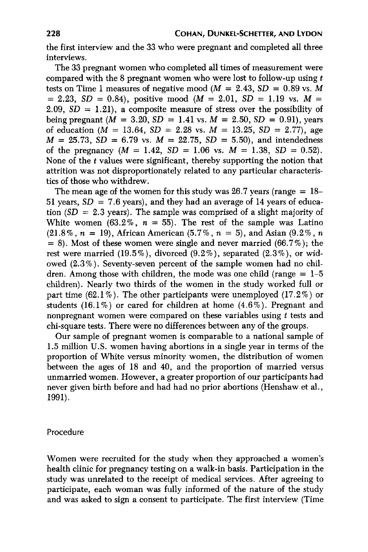the first interview and the **33** who were pregnant and completed all three interviews.

The **33** pregnant women who completed all times of measurement were compared with the **8** pregnant women who were lost to follow-up using t tests on Time 1 measures of negative mood  $(M = 2.43, SD = 0.89$  vs. M  $= 2.23$ ,  $SD = 0.84$ , positive mood  $(M = 2.01, SD = 1.19$  vs.  $M =$ 2.09,  $SD = 1.21$ , a composite measure of stress over the possibility of being pregnant  $(M = 3.20, SD = 1.41$  vs.  $M = 2.50, SD = 0.91$ , years of education  $(M = 13.64, SD = 2.28$  vs.  $M = 13.25, SD = 2.77$ , age  $M = 25.73$ ,  $\dot{SD} = 6.79$  vs.  $M = 22.75$ ,  $\dot{SD} = 5.50$ , and intendedness of the pregnancy  $(M = 1.42, SD = 1.06$  vs.  $M = 1.38, SD = 0.52$ . None of the *t* values were significant, thereby supporting the notion that attrition was not disproportionately related to any particular characteristics of those who withdrew.

The mean age of the women for this study was  $26.7$  years (range  $= 18$ -51 years,  $SD = 7.6$  years), and they had an average of 14 years of education (SD = **2.3** years). The sample was comprised of a slight majority of White women  $(63.2\% , n = 55)$ . The rest of the sample was Latino **(21.8%** , n = **19),** African American **(5.7%** , *n* = *5),* and Asian **(9.2%,** *<sup>n</sup>*  $= 8$ ). Most of these women were single and never married  $(66.7\%)$ ; the rest were married **(19.5%),** divorced **(9.2%),** separated **(2.3%),** or widowed **(2.3%).** Seventy-seven percent of the sample women had no children. Among those with children, the mode was one child (range  $= 1-5$ children). Nearly two thirds of the women in the study worked full or part time **(62.1%).** The other participants were unemployed **(17.2%)** or students **(16.1%)** or cared for children at home **(4.6%).** Pregnant and nonpregnant women were compared on these variables using  $t$  tests and chi-square tests. There were no differences between any of the groups.

Our sample of pregnant women is comparable to a national sample of **1.5** million **U.S.** women having abortions in a single year in terms of the proportion of White versus minority women, the distribution of women between the ages of **18** and **40,** and the proportion of married versus unmarried women. However, a greater proportion of our participants had never given birth before and had had no prior abortions (Henshaw et al., **1991).** 

#### Procedure

Women were recruited for the study when they approached a women's health clinic for pregnancy testing on a walk-in basis. Participation in the study was unrelated to the receipt of medical services. After agreeing to participate, each woman was fully informed of the nature of the study and was asked to sign a consent to participate. The first interview (Time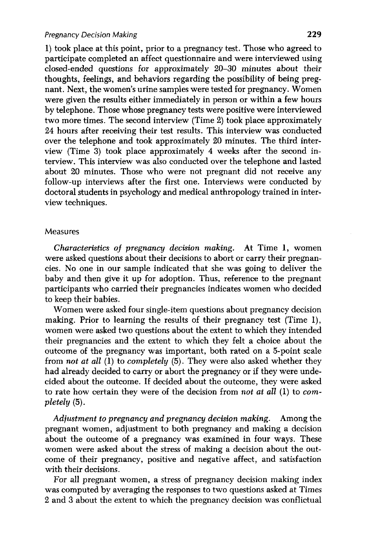1) took place at this point, prior to a pregnancy test. Those who agreed to participate completed an affect questionnaire and were interviewed using closed-ended questions for approximately 20-30 minutes about their thoughts, feelings, and behaviors regarding the possibility of being pregnant. Next, the women's urine samples were tested for pregnancy. Women were given the results either immediately in person or within a few hours by telephone. Those whose pregnancy tests were positive were interviewed two more times. The second interview (Time 2) took place approximately **24** hours after receiving their test results. This interview was conducted over the telephone and took approximately **20** minutes. The third interview (Time **3)** took place approximately **4** weeks after the second interview. This interview was also conducted over the telephone and lasted about 20 minutes. Those who were not pregnant did not receive any follow-up interviews after the first one. Interviews were conducted by doctoral students in psychology and medical anthropology trained in interview techniques.

#### **Measures**

*Characteristics of pregnancy decision making.* At Time **1,** women were asked questions about their decisions to abort or carry their pregnancies. No one in our sample indicated that she was going to deliver the baby and then give it up for adoption. Thus, reference to the pregnant participants who carried their pregnancies indicates women who decided to keep their babies.

Women were asked four single-item questions about pregnancy decision making. Prior to learning the results of their pregnancy test (Time l), women were asked two questions about the extent to which they intended their pregnancies and the extent to which they felt a choice about the outcome of the pregnancy was important, both rated on a 5-point scale from *not at all* (1) to *completely (5).* They were also asked whether they had already decided to carry or abort the pregnancy or if they were undecided about the outcome. If decided about the outcome, they were asked to rate how certain they were of the decision from *not at all* (1) to *completely (5).* 

Adjustment to pregnancy and pregnancy decision making. Among the pregnant women, adjustment to both pregnancy and making **a** decision about the outcome of a pregnancy was examined in four ways. These women were asked about the stress of making a decision about the outcome of their pregnancy, positive and negative affect, and satisfaction with their decisions.

For all pregnant women, a stress of pregnancy decision making index was computed by averaging the responses to two questions asked at Times **2** and **3** about the extent to which the pregnancy decision was conflictual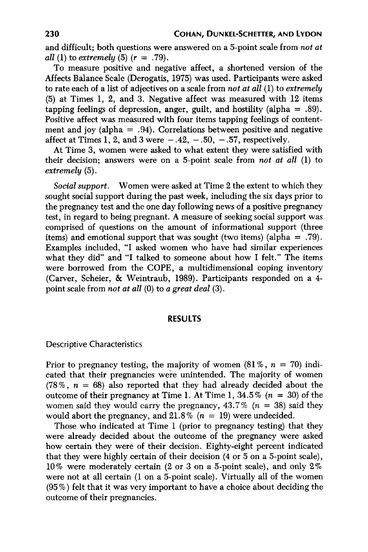and difficult; both questions were answered on a 5-point scale from *not at all* (1) to *extremely* (5)  $(r = .79)$ .

To measure positive and negative affect, a shortened version of the Affects Balance Scale (Derogatis, **1975)** was used. Participants were asked to rate each of a list of adjectives on a scale from *not at all* **(1)** to *extremely*  **(5)** at Times **1, 2,** and **3.** Negative affect was measured with **12** items tapping feelings of depression, anger, guilt, and hostility (alpha = .89). Positive affect was measured with four items tapping feelings of contentment and joy (alpha = **.94).** Correlations between positive and negative affect at Times **1,2,** and **3** were - **-42,** - **.50,** - **-57,** respectively.

At Time **3,** women were asked to what extent they were satisfied with their decision; answers were on a 5-point scale from *not at all* **(1)** to *extremely* (5).

Women were asked at Time **2** the extent to which they sought social support during the past week, including the six days prior to the pregnancy test and the one day following news of a positive pregnancy test, in regard to being pregnant. **A** measure of seeking social support was comprised of questions on the amount of informational support (three items) and emotional support that was sought (two items) (alpha =  $.79$ ). Examples included, "I asked women who have had similar experiences what they did" and "I talked to someone about how I felt." The items were borrowed from the COPE, a multidimensional coping inventory (Carver, Scheier, & Weintraub, 1989). Participants responded on a **4**  point scale from *not at all (0)* to *a great deal (3). Social support.* 

#### **RESULTS**

Descriptive Characteristics

Prior to pregnancy testing, the majority of women  $(81\% , n = 70)$  indicated that their pregnancies were unintended. The majority of women  $(78\% , n = 68)$  also reported that they had already decided about the outcome of their pregnancy at Time 1. At Time 1,  $34.5\%$   $(n = 30)$  of the women said they would carry the pregnancy,  $43.7\%$  ( $n = 38$ ) said they would abort the pregnancy, and  $21.8\%$  ( $n = 19$ ) were undecided.

Those who indicated at Time 1 (prior to pregnancy testing) that they were already decided about the outcome of the pregnancy were asked how certain they were of their decision. Eighty-eight percent indicated that they were highly certain of their decision **(4** or **5** on a 5-point scale), **10%** were moderately certain **(2** or **3** on a 5-point scale), and only **2%**  were not at all certain (1 on a 5-point scale). Virtually all of the women  $(95\%)$  felt that it was very important to have a choice about deciding the outcome of their pregnancies.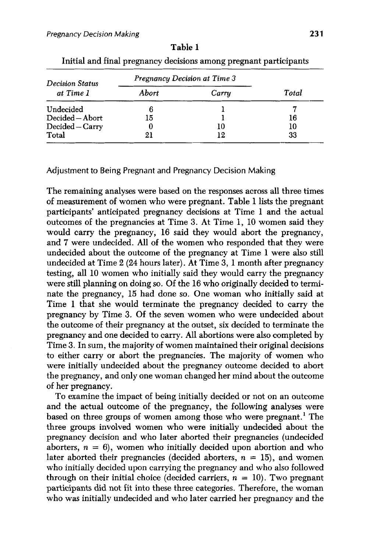|                                     | . .   | .                            |       |
|-------------------------------------|-------|------------------------------|-------|
| <i>Decision Status</i><br>at Time 1 |       | Pregnancy Decision at Time 3 |       |
|                                     | Abort | Carry                        | Total |
| Undecided                           | 6     |                              |       |
| Decided - Abort                     | 15    |                              | 16    |
| Decided - Carry                     |       | 10                           | 10    |
| Total                               |       | 12                           | 33    |

Table **1**  Initial and final pregnancy decisions among pregnant participants

Adjustment to Being Pregnant and Pregnancy Decision Making

The remaining analyses were based on the responses across all three times of measurement of women who were pregnant. Table 1 lists the pregnant participants' anticipated pregnancy decisions at Time 1 and the actual outcomes of the pregnancies at Time **3.** At Time 1, 10 women said they would carry the pregnancy, 16 said they would abort the pregnancy, and **7** were undecided. All of the women who responded that they were undecided about the outcome of the pregnancy at Time 1 were also still undecided at Time **2 (24** hours later). At Time **3,** 1 month after pregnancy testing, all 10 women who initially said they would carry the pregnancy were still planning on doing so. Of the 16 who originally decided to terminate the pregnancy, 15 had done so. One woman who initially said at Time **1** that she would terminate the pregnancy decided to carry the pregnancy by Time **3.** Of the seven women who were undecided about the outcome of their pregnancy at the outset, six decided to terminate the pregnancy and one decided to carry. All abortions were also completed by Time **3.** In sum, the majority of women maintained their original decisions to either carry or abort the pregnancies. The majority of women who were initially undecided about the pregnancy outcome decided to abort the pregnancy, and only one woman changed her mind about the outcome of her pregnancy.

To examine the impact of being initially decided or not on an outcome and the actual outcome of the pregnancy, the following analyses were based on three groups of women among those who were pregnant.' The three groups involved women who were initially undecided about the pregnancy decision and who later aborted their pregnancies (undecided aborters,  $n = 6$ ), women who initially decided upon abortion and who later aborted their pregnancies (decided aborters,  $n = 15$ ), and women who initially decided upon carrying the pregnancy and who also followed through on their initial choice (decided carriers,  $n = 10$ ). Two pregnant **participants** did **not** fit into these three categories. Therefore, the woman who was initially undecided and who later carried her pregnancy and the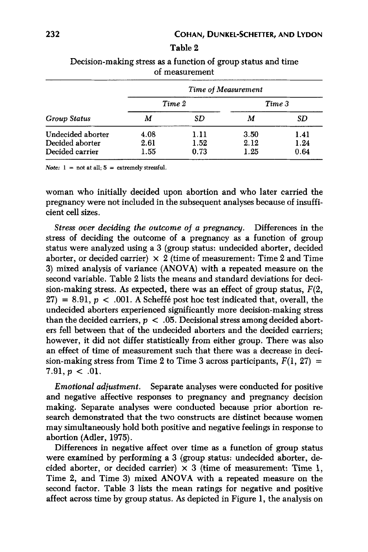#### Table **2**

|                                      | Time of Measurement |              |              |              |  |
|--------------------------------------|---------------------|--------------|--------------|--------------|--|
|                                      |                     | Time 2       |              | Time 3       |  |
| Group Status                         | М                   | SD           | м            | SD           |  |
| Undecided aborter<br>Decided aborter | 4.08<br>2.61        | 1.11<br>1.52 | 3.50<br>2.12 | 1.41<br>1.24 |  |
| Decided carrier                      | 1.55                | 0.73         | 1.25         | 0.64         |  |

Decision-making stress **as** a function of group status and time of measurement

*Note:*  $1 = \text{not at all; } 5 = \text{extremely stressful.}$ 

woman who initially decided upon abortion and who later carried the pregnancy were not included in the subsequent analyses because of insufficient cell sizes.

Stress over deciding the outcome of a pregnancy. Differences in the stress of deciding the outcome of a pregnancy **as** a function of group status were analyzed using a 3 (group status: undecided aborter, decided aborter, or decided carrier)  $\times$  2 (time of measurement: Time 2 and Time 3) mixed analysis of variance (ANOVA) with a repeated measure on the second variable. Table 2 lists the means and standard deviations for decision-making stress. As expected, there was an effect of group status,  $F(2, 1)$  $27$ ) = 8.91,  $p < .001$ . A Scheffé post hoc test indicated that, overall, the undecided aborters experienced significantly more decision-making stress than the decided carriers,  $p < .05$ . Decisional stress among decided aborters fell between that of the undecided aborters and the decided carriers; however, it did not differ statistically from either group. There was also an effect of time of measurement such that there was a decrease in decision-making stress from Time 2 to Time 3 across participants,  $F(1, 27) =$  $7.91, p < .01.$ 

Separate analyses were conducted for positive and negative affective responses to pregnancy and pregnancy decision making. Separate analyses were conducted because prior abortion research demonstrated that the two constructs are distinct because women may simultaneously hold both positive and negative feelings in response to abortion (Adler, 1975). *Emotional adjustment.* 

Differences in negative affect over time **as** a function of group status were examined by performing a 3 (group status: undecided aborter, decided aborter, or decided carrier)  $\times$  3 (time of measurement: Time 1, Time 2, and Time 3) mixed ANOVA with a repeated measure on the second factor. Table 3 lists the mean ratings for negative and positive affect across time by group status. As depicted in Figure 1, the analysis on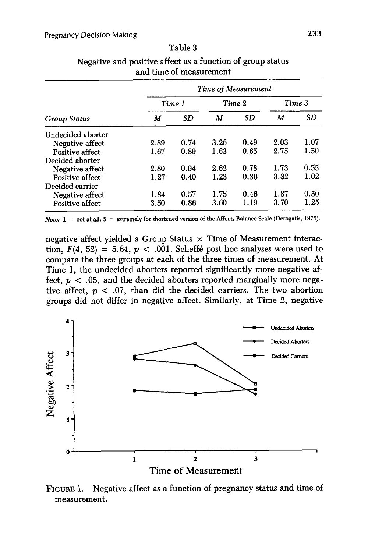| and time of measurement |                     |      |        |           |        |      |  |  |  |
|-------------------------|---------------------|------|--------|-----------|--------|------|--|--|--|
| <b>Group Status</b>     | Time of Measurement |      |        |           |        |      |  |  |  |
|                         | Time 1              |      | Time 2 |           | Time 3 |      |  |  |  |
|                         | М                   | SD   | M      | <b>SD</b> | М      | SD   |  |  |  |
| Undecided aborter       |                     |      |        |           |        |      |  |  |  |
| Negative affect         | 2.89                | 0.74 | 3.26   | 0.49      | 2.03   | 1.07 |  |  |  |
| Positive affect         | 1.67                | 0.89 | 1.63   | 0.65      | 2.75   | 1.50 |  |  |  |
| Decided aborter         |                     |      |        |           |        |      |  |  |  |
| Negative affect         | 2.80                | 0.94 | 2.62   | 0.78      | 1.73   | 0.55 |  |  |  |
| Positive affect         | 1.27                | 0.40 | 1.23   | 0.36      | 3.32   | 1.02 |  |  |  |
| Decided carrier         |                     |      |        |           |        |      |  |  |  |
| Negative affect         | 1.84                | 0.57 | 1.75   | 0.46      | 1.87   | 0.50 |  |  |  |
| Positive affect         | 3.50                | 0.86 | 3.60   | 1.19      | 3.70   | 1.25 |  |  |  |

Negative and positive affect **as** a function of group status

Table **3** 

**Note: 1** = **not at all; 5** = **extremely for shortened version of the Affects Balance Scale (Derogatis, 1975).** 

negative affect yielded a Group Status **x** Time of Measurement interaction,  $F(4, 52) = 5.64$ ,  $p < .001$ . Scheffé post hoc analyses were used to compare the three groups at each of the three times of measurement. At Time 1, the undecided aborters reported significantly more negative affect,  $p < .05$ , and the decided aborters reported marginally more negative affect,  $p < .07$ , than did the decided carriers. The two abortion groups did not differ in negative affect. Similarly, at Time **2,** negative



**FIGURE** 1. Negative affect as a function of pregnancy status and time of measurement.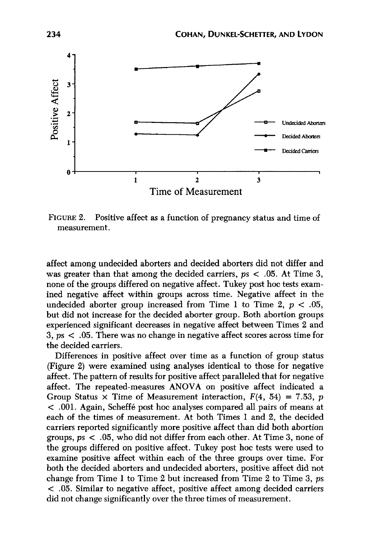

FIGURE 2. Positive affect as a function of pregnancy status and time of measurement.

affect among undecided aborters and decided aborters did not differ and was greater than that among the decided carriers, *ps* < *.05.* At Time **3,**  none of the groups differed on negative affect. Tukey post hoc tests examined negative affect within groups across time. Negative affect in the undecided aborter group increased from Time 1 to Time 2,  $p < .05$ , but did not increase for the decided aborter group. Both abortion groups experienced significant decreases in negative affect between Times **2** and **3,** *ps* < *.05.* There was no change in negative affect scores across time for the decided carriers.

Differences in positive affect over time **as** a function of group status (Figure **2)** were examined using analyses identical to those for negative affect. The pattern of results for positive affect paralleled that for negative affect. The repeated-measures ANOVA on positive affect indicated a Group Status  $\times$  Time of Measurement interaction,  $F(4, 54) = 7.53$ , *p* < .001. Again, Scheff6 post hoc analyses compared all pairs of means at each of the times of measurement. At both Times 1 and 2, the decided carriers reported significantly more positive affect than did both abortion groups, *ps* < *.05,* who did not differ from each other. At Time **3,** none of the groups differed on positive affect. Tukey post hoc tests were used to examine positive affect within each of the three groups over time. For both the decided aborters and undecided aborters, positive affect did not change from Time **1** to Time 2 but increased from Time 2 to Time **3,** *ps*  < *.05.* Similar to negative affect, positive affect among decided carriers did not change significantly over the three times of measurement.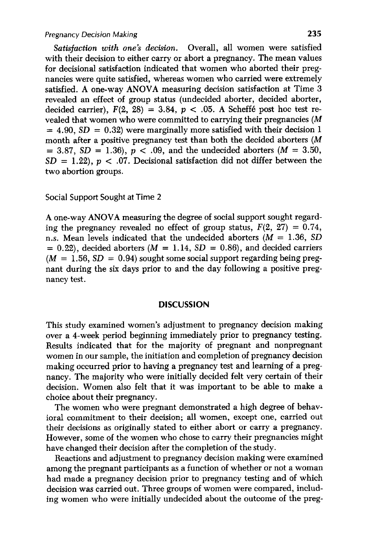Satisfaction with one's decision. Overall, all women were satisfied with their decision to either carry or abort a pregnancy. The mean values for decisional satisfaction indicated that women who aborted their pregnancies were quite satisfied, whereas women who carried were extremely satisfied. **A** one-way **ANOVA** measuring decision satisfaction at Time **3**  revealed an effect of group status (undecided aborter, decided aborter, decided carrier),  $F(2, 28) = 3.84$ ,  $p < .05$ . A Scheffé post hoc test revealed that women who were committed to carrying their pregnancies *(M*   $= 4.90$ ,  $SD = 0.32$ ) were marginally more satisfied with their decision 1 month after a positive pregnancy test than both the decided aborters *(M*   $= 3.87, SD = 1.36$ ,  $p < .09$ , and the undecided aborters  $(M = 3.50,$  $SD = 1.22$ ,  $p < .07$ . Decisional satisfaction did not differ between the two abortion groups.

Social Support Sought at Time 2

**A** one-way **ANOVA** measuring the degree of social support sought regarding the pregnancy revealed no effect of group status,  $F(2, 27) = 0.74$ , n.s. Mean levels indicated that the undecided aborters *(M* = **1.36, SD**   $= 0.22$ , decided aborters  $(M = 1.14, SD = 0.86)$ , and decided carriers  $(M = 1.56, SD = 0.94)$  sought some social support regarding being pregnant during the six days prior to and the day following a positive pregnancy test.

#### **DISCUSSION**

This study examined women's adjustment to pregnancy decision making over a 4-week period beginning immediately prior to pregnancy testing. Results indicated that for the majority of pregnant and nonpregnant women in our sample, the initiation and completion of pregnancy decision making occurred prior to having a pregnancy test and learning of a pregnancy. The majority who were initially decided felt very certain of their decision. Women also felt that it was important to be able to make a choice about their pregnancy.

The women who were pregnant demonstrated a high degree of behavioral commitment to their decision; all women, except one, carried out their decisions as originally stated to either abort or carry a pregnancy. However, some of the women who chose to carry their pregnancies might have changed their decision after the completion of the study.

Reactions and adjustment to pregnancy decision making were examined among the pregnant participants **as** a function of whether or not a woman had made a pregnancy decision prior to pregnancy testing and of which decision was carried out. Three groups of women were compared, including women who were initially undecided about the outcome of the preg-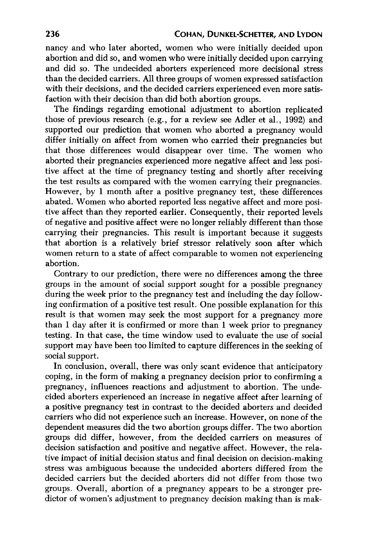nancy and who later aborted, women who were initially decided upon abortion and did so, and women who were initially decided upon carrying and did so. The undecided aborters experienced more decisional stress than the decided carriers. All three groups of women expressed satisfaction with their decisions, and the decided carriers experienced even more satisfaction with their decision than did both abortion groups.

The findings regarding emotional adjustment to abortion replicated those of previous research (e.g., for a review see Adler et al., 1992) and supported our prediction that women who aborted a pregnancy would differ initially on affect from women who carried their pregnancies but that those differences would disappear over time. The women who aborted their pregnancies experienced more negative affect and less positive affect at the time of pregnancy testing and shortly after receiving the test results as compared with the women carrying their pregnancies. However, by **1** month after a positive pregnancy test, these differences abated. Women who aborted reported less negative affect and more positive affect than they reported earlier. Consequently, their reported levels of negative and positive affect were no longer reliably different than those carrying their pregnancies. This result is important because it suggests that abortion is a relatively brief stressor relatively soon after which women return to a state of affect comparable to women not experiencing abortion.

Contrary to our prediction, there were no differences among the three groups in the amount of social support sought for a possible pregnancy during the week prior to the pregnancy test and including the day following confirmation of a positive test result. One possible explanation for this result is that women may seek the most support for a pregnancy more than **1** day after it is confirmed or more than **1** week prior to pregnancy testing. In that case, the time window used to evaluate the use of social support may have been too limited to capture differences in the seeking of social support.

In conclusion, overall, there was only scant evidence that anticipatory coping, in the form of making a pregnancy decision prior to confirming a pregnancy, influences reactions and adjustment to abortion. The undecided aborters experienced an increase in negative affect after learning of a positive pregnancy test in contrast to the decided aborters and decided carriers who did not experience such an increase. However, on none of the dependent measures did the two abortion groups differ. The two abortion groups did differ, however, from the decided carriers on measures of decision satisfaction and positive and negative affect. However, the relative impact of initial decision status and final decision on decision-making stress was ambiguous because the undecided aborters differed from the decided carriers but the decided aborters did not differ from those two groups. Overall, abortion of a pregnancy appears to be a stronger predictor of women's adjustment to pregnancy decision making than is mak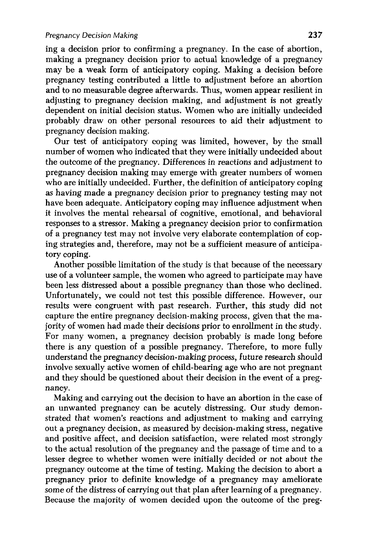ing a decision prior to confirming a pregnancy. In the case of abortion, making a pregnancy decision prior to actual knowledge of a pregnancy may be a weak form of anticipatory coping. Making a decision before pregnancy testing contributed a little to adjustment before an abortion and to no measurable degree afterwards. Thus, women appear resilient in adjusting to pregnancy decision making, and adjustment is not greatly dependent on initial decision status. Women who are initially undecided probably draw on other personal resources to aid their adjustment to pregnancy decision making.

Our test of anticipatory coping was limited, however, by the small number of women who indicated that they were initially undecided about the outcome of the pregnancy. Differences in reactions and adjustment to pregnancy decision making may emerge with greater numbers of women who are initially undecided. Further, the definition of anticipatory coping **as** having made a pregnancy decision prior to pregnancy testing may not have been adequate. Anticipatory coping may influence adjustment when it involves the mental rehearsal of cognitive, emotional, and behavioral responses to a stressor. Making a pregnancy decision prior to confirmation of a pregnancy test may not involve very elaborate contemplation of coping strategies and, therefore, may not be a sufficient measure of anticipatory coping.

Another possible limitation of the study is that because of the necessary use of a volunteer sample, the women who agreed to participate may have been less distressed about a possible pregnancy than those who declined. Unfortunately, we could not test this possible difference. However, our results were congruent with past research. Further, this study did not capture the entire pregnancy decision-making process, given that the majority of women had made their decisions prior to enrollment in the study. For many women, a pregnancy decision probably is made long before there is any question of a possible pregnancy. Therefore, to more fully understand the pregnancy decision-making process, future research should involve sexually active women of child-bearing age who are not pregnant and they should be questioned about their decision in the event of a pregnancy.

Making and carrying out the decision to have an abortion in the case of an unwanted pregnancy can be acutely distressing. Our study demonstrated that women's reactions and adjustment to making and carrying out a pregnancy decision, as measured by decision-making stress, negative and positive affect, and decision satisfaction, were related most strongly to the actual resolution of the pregnancy and the passage of time and to a lesser degree to whether women were initially decided or not about the pregnancy outcome at the time of testing. Making the decision to abort a pregnancy prior to definite knowledge of a pregnancy may ameliorate some of the distress of carrying out that plan after learning of a pregnancy. Because the majority of women decided upon the outcome of the preg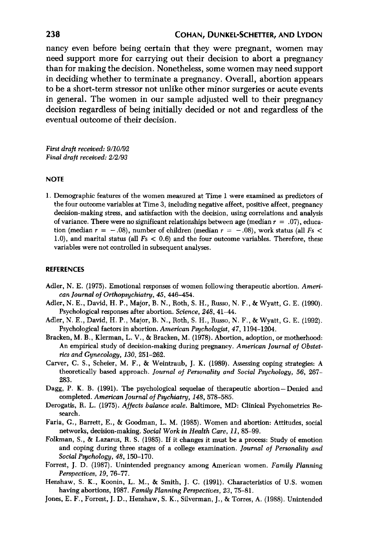nancy even before being certain that they were pregnant, women may need support more for carrying out their decision to abort **a** pregnancy than for making the decision. Nonetheless, some women may need support **in** deciding whether to terminate a pregnancy. Overall, abortion appears to be a short-term stressor not unlike other minor surgeries or acute events in general. The women in our sample adjusted well to their pregnancy decision regardless of being initially decided or not and regardless of the eventual outcome of their decision.

*First draft received:* **9/10/92**  *Final draft received:* **2/2/93** 

#### **NOTE**

**1.** Demographic features of the women measured at Time **1** were examined **as** predictors of the four outcome variables at Time 3, including negative affect, positive affect, pregnancy decision-making stress, and satisfaction with the decision, using correlations and analysis of variance. There were no significant relationships between age (median  $r = .07$ ), education (median  $r = -.08$ ), number of children (median  $r = -.08$ ), work status (all  $Fs <$ 1.0), and marital status (all  $Fs < 0.6$ ) and the four outcome variables. Therefore, these variables were not controlled in subsequent analyses.

#### **REFERENCES**

- Adler, N. E. **(1975).** Emotional responses of women following therapeutic abortion. *American Journal of Orthopsychiaty, 45,* **446-454.**
- Adler, **N.** E., David, H. P., Major, B. N., Roth, S. H., Russo, N. F., &Wyatt, G. E. **(1990).**  Psychological responses after abortion. *Science,* **248,41-44.**
- Adler, **N.** E., David, H. P., Major, B. N., Roth, S. H., Russo, N. F., &Wyatt, G. E. **(1992).**  Psychological factors in abortion. *American Psychologist, 47,* **1194-1204.**
- Bracken, M. B., Klerman, L. V., & Bracken, M. (1978). Abortion, adoption, or motherhood: An empirical study of decision-making during pregnancy. *American Journal* of *Obstetrics and Gynecology,* **130,251-262.**
- Carver, C. **S.,** Scheier, M. F., & Weintraub, J. K. **(1989).** Assessing coping strategies: A theoretically based approach. *Journal* of *Personality and Social Psychology, 56,* **267- 283.**
- Dagg, P. K. B. **(1991).** The psychological sequelae of therapeutic abortion-Denied and completed. *American Journal* of *Psychiatry,* **148,578-585.**
- Derogatis, **R. L. (1975).** *Affects balance scale.* Baltimore, MD: Clinical Psychometrics Research.
- Faria, *C.,* Barrett, E., & Goodman, L. M. **(1985).** Women and abortion: Attitudes, social networks, decision-making. *Social* Work *in Health Care,* **11,85-99.**
- Folkman, S., & Lazarus, R. S. **(1985).** If it changes it must be a process: Study of emotion and coping during three stages of a college examination. *Journal* of *Personality and Social Psychology,* **48, 150-170.**
- Forrest, J. D. **(1987).** Unintended pregnancy among American women. *Family Planning Perspectiues,* **19, 76-77.**
- Henshaw, **S.** K., Koonin, L. M., & Smith, J. C. **(1991).** Characteristics of U.S. women having abortions, **1987.** *Family Planning Perspectives,* **23, 75-81.**
- Jones, **E.** F., Forrest, J. D., Henshaw, S. K., Silverman, J., & Torres, A. **(1988).** Unintended